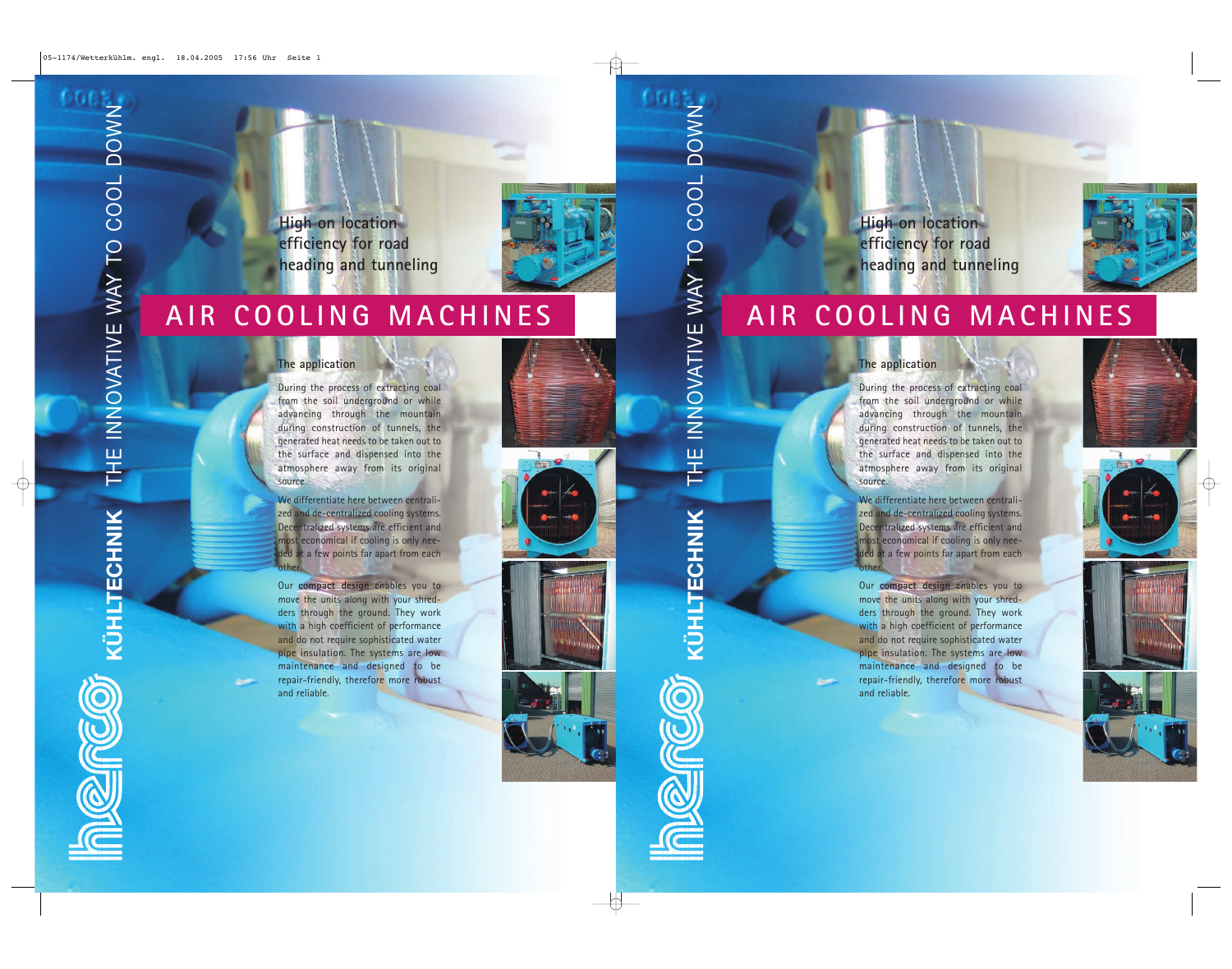**High on location efficiency for road heading and tunneling**



# **AIR COOLING MACHINES**

### **The application**

During the process of extracting coal from the soil underground or while advancing through the mountain during construction of tunnels, the generated heat needs to be taken out to the surface and dispensed into the atmosphere away from its original source.

We differentiate here between centralized and de-centralized cooling systems. Decentralized systems are efficient and most economical if cooling is only needed at a few points far apart from each other.

Our **compact design** enables you to move the units along with your shredders through the ground. They work with a high coefficient of performance and do not require sophisticated water pipe insulation. The systems are low maintenance and designed to be repair-friendly, therefore more robust and reliable.